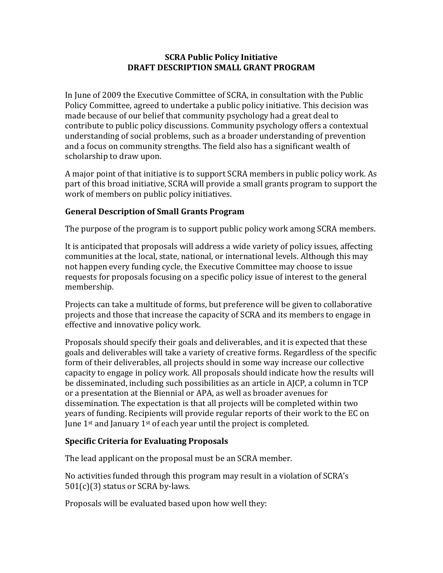### **SCRA Public Policy Initiative DRAFT DESCRIPTION SMALL GRANT PROGRAM**

In June of 2009 the Executive Committee of SCRA, in consultation with the Public Policy Committee, agreed to undertake a public policy initiative. This decision was made because of our belief that community psychology had a great deal to contribute to public policy discussions. Community psychology offers a contextual understanding of social problems, such as a broader understanding of prevention and a focus on community strengths. The field also has a significant wealth of scholarship to draw upon.

A major point of that initiative is to support SCRA members in public policy work. As part of this broad initiative, SCRA will provide a small grants program to support the work of members on public policy initiatives.

### **General Description of Small Grants Program**

The purpose of the program is to support public policy work among SCRA members.

It is anticipated that proposals will address a wide variety of policy issues, affecting communities at the local, state, national, or international levels. Although this may not happen every funding cycle, the Executive Committee may choose to issue requests for proposals focusing on a specific policy issue of interest to the general membership.

Projects can take a multitude of forms, but preference will be given to collaborative projects and those that increase the capacity of SCRA and its members to engage in effective and innovative policy work.

Proposals should specify their goals and deliverables, and it is expected that these goals and deliverables will take a variety of creative forms. Regardless of the specific form of their deliverables, all projects should in some way increase our collective capacity to engage in policy work. All proposals should indicate how the results will be disseminated, including such possibilities as an article in AJCP, a column in TCP or a presentation at the Biennial or APA, as well as broader avenues for dissemination. The expectation is that all projects will be completed within two years of funding. Recipients will provide regular reports of their work to the EC on June  $1<sup>st</sup>$  and January  $1<sup>st</sup>$  of each year until the project is completed.

### **Specific Criteria for Evaluating Proposals**

The lead applicant on the proposal must be an SCRA member.

No activities funded through this program may result in a violation of SCRA's 501(c)(3) status or SCRA by-laws.

Proposals will be evaluated based upon how well they: